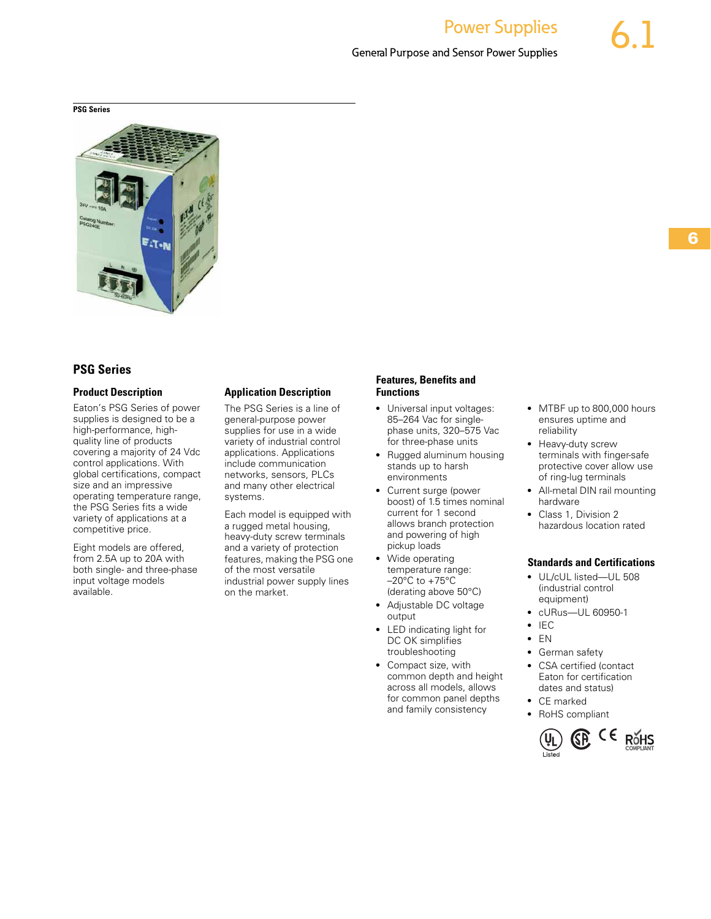# **PSG Series** Contents Contents and Contents Contents and Contents Contents of Contents Contents of Contents Contents of Contents of Contents of Contents of Contents of Contents of Contents of Contents of Contents of Conten



# **PSG Series**

#### **Product Description**

Eaton's PSG Series of power supplies is designed to be a high-performance, highquality line of products covering a majority of 24 Vdc control applications. With global certifications, compact size and an impressive operating temperature range, the PSG Series fits a wide variety of applications at a competitive price.

Eight models are offered, from 2.5A up to 20A with both single- and three-phase input voltage models available.

#### **Application Description**

The PSG Series is a line of general-purpose power supplies for use in a wide variety of industrial control applications. Applications include communication networks, sensors, PLCs and many other electrical systems.

Each model is equipped with a rugged metal housing, heavy-duty screw terminals and a variety of protection features, making the PSG one of the most versatile industrial power supply lines on the market.

#### **Features, Benefits and Functions**

- Universal input voltages: 85–264 Vac for singlephase units, 320–575 Vac for three-phase units
- Rugged aluminum housing stands up to harsh environments
- Current surge (power boost) of 1.5 times nominal current for 1 second allows branch protection and powering of high pickup loads
- Wide operating temperature range:  $-20^{\circ}$ C to  $+75^{\circ}$ C (derating above 50°C)
- Adjustable DC voltage output
- LED indicating light for DC OK simplifies troubleshooting
- Compact size, with common depth and height across all models, allows for common panel depths and family consistency
- MTBF up to 800,000 hours ensures uptime and reliability
- Heavy-duty screw terminals with finger-safe protective cover allow use of ring-lug terminals
- All-metal DIN rail mounting hardware
- Class 1, Division 2 hazardous location rated

#### **Standards and Certifications**

- UL/cUL listed—UL 508 (industrial control equipment)
- cURus—UL 60950-1
- IEC
- $\bullet$  EN
- German safety
- CSA certified (contact Eaton for certification dates and status)
- CE marked
- RoHS compliant

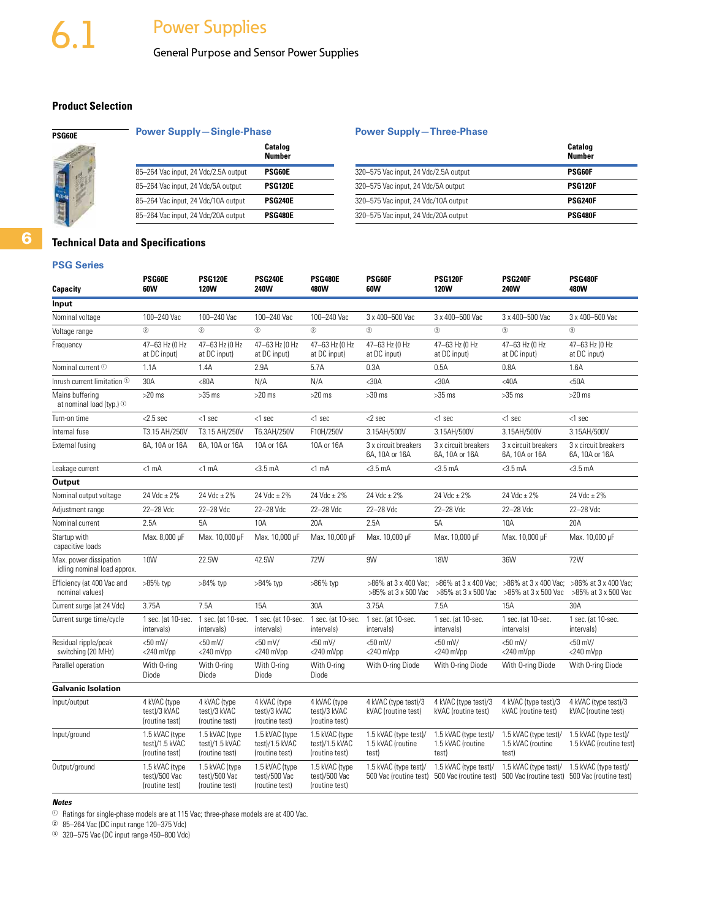General Purpose and Sensor Power Supplies

# **Product Selection**

# **Power Supply-Single-Phase <b>Power Supply-Three-Phase**

| Catalog<br><b>Number</b> |                                       | Catalog<br><b>Number</b> |
|--------------------------|---------------------------------------|--------------------------|
| <b>PSG60E</b>            | 320-575 Vac input, 24 Vdc/2.5A output | <b>PSG60F</b>            |
| <b>PSG120E</b>           | 320-575 Vac input, 24 Vdc/5A output   | <b>PSG120F</b>           |
| <b>PSG240E</b>           | 320-575 Vac input, 24 Vdc/10A output  | <b>PSG240F</b>           |
| <b>PSG480E</b>           | 320-575 Vac input, 24 Vdc/20A output  | <b>PSG480F</b>           |
|                          |                                       |                          |

# **Technical Data and Specifications**

#### **PSG Series**

**6**

| Capacity                                              | PSG60E<br>60W                                      | <b>PSG120E</b><br><b>120W</b>                      | <b>PSG240E</b><br><b>240W</b>                      | <b>PSG480E</b><br>480W                             | PSG60F<br>60W                                       | <b>PSG120F</b><br><b>120W</b>                       | <b>PSG240F</b><br>240W                              | <b>PSG480F</b><br>480W                                                 |
|-------------------------------------------------------|----------------------------------------------------|----------------------------------------------------|----------------------------------------------------|----------------------------------------------------|-----------------------------------------------------|-----------------------------------------------------|-----------------------------------------------------|------------------------------------------------------------------------|
| Input                                                 |                                                    |                                                    |                                                    |                                                    |                                                     |                                                     |                                                     |                                                                        |
| Nominal voltage                                       | 100-240 Vac                                        | 100-240 Vac                                        | 100-240 Vac                                        | 100-240 Vac                                        | 3 x 400-500 Vac                                     | 3 x 400-500 Vac                                     | 3 x 400-500 Vac                                     | 3 x 400-500 Vac                                                        |
| Voltage range                                         | $^{\circ}$                                         | $\circled{2}$                                      | $\circled{2}$                                      | $\circled{2}$                                      | $\circled{3}$                                       | $\circled{3}$                                       | $\circled{3}$                                       | (3)                                                                    |
| Frequency                                             | 47-63 Hz (0 Hz<br>at DC input)                     | 47-63 Hz (0 Hz<br>at DC input)                     | 47-63 Hz (0 Hz<br>at DC input)                     | 47-63 Hz (0 Hz<br>at DC input)                     | 47-63 Hz (0 Hz<br>at DC input)                      | 47-63 Hz (0 Hz<br>at DC input)                      | 47-63 Hz (0 Hz<br>at DC input)                      | 47-63 Hz (0 Hz<br>at DC input)                                         |
| Nominal current <sup>1</sup>                          | 1.1A                                               | 1.4A                                               | 2.9A                                               | 5.7A                                               | 0.3A                                                | 0.5A                                                | 0.8A                                                | 1.6A                                                                   |
| Inrush current limitation $\mathbb O$                 | 30A                                                | <80A                                               | N/A                                                | N/A                                                | $30A$                                               | $30A$                                               | $<$ 40A                                             | $50A$                                                                  |
| Mains buffering<br>at nominal load (typ.) $\odot$     | $>20$ ms                                           | $>35$ ms                                           | $>20$ ms                                           | $>20$ ms                                           | $>30$ ms                                            | $>35$ ms                                            | $>35$ ms                                            | $>20$ ms                                                               |
| Turn-on time                                          | $<$ 2.5 sec                                        | $<$ 1 sec                                          | $<$ 1 sec                                          | $<$ 1 sec                                          | $<$ 2 sec                                           | $<$ 1 sec                                           | $<$ 1 sec                                           | $<$ 1 sec                                                              |
| Internal fuse                                         | T3.15 AH/250V                                      | T3.15 AH/250V                                      | T6.3AH/250V                                        | F10H/250V                                          | 3.15AH/500V                                         | 3.15AH/500V                                         | 3.15AH/500V                                         | 3.15AH/500V                                                            |
| External fusing                                       | 6A, 10A or 16A                                     | 6A, 10A or 16A                                     | 10A or 16A                                         | 10A or 16A                                         | 3 x circuit breakers<br>6A, 10A or 16A              | 3 x circuit breakers<br>6A, 10A or 16A              | 3 x circuit breakers<br>6A, 10A or 16A              | 3 x circuit breakers<br>6A, 10A or 16A                                 |
| Leakage current                                       | $<1$ mA                                            | $<1$ mA                                            | $<$ 3.5 $mA$                                       | $<$ 1 mA                                           | $<$ 3.5 $mA$                                        | $<$ 3.5 mA                                          | $<$ 3.5 $mA$                                        | $<$ 3.5 mA                                                             |
| Output                                                |                                                    |                                                    |                                                    |                                                    |                                                     |                                                     |                                                     |                                                                        |
| Nominal output voltage                                | 24 Vdc $\pm$ 2%                                    | 24 Vdc ± 2%                                        | 24 Vdc ± 2%                                        | 24 Vdc ± 2%                                        | 24 Vdc ± 2%                                         | 24 Vdc ± 2%                                         | 24 Vdc ± 2%                                         | 24 Vdc ± 2%                                                            |
| Adjustment range                                      | 22-28 Vdc                                          | 22-28 Vdc                                          | 22-28 Vdc                                          | 22-28 Vdc                                          | 22-28 Vdc                                           | 22-28 Vdc                                           | 22-28 Vdc                                           | 22-28 Vdc                                                              |
| Nominal current                                       | 2.5A                                               | 5A                                                 | 10A                                                | 20A                                                | 2.5A                                                | 5A                                                  | 10A                                                 | 20A                                                                    |
| Startup with<br>capacitive loads                      | Max. 8,000 µF                                      | Max. 10,000 µF                                     | Max. 10,000 µF                                     | Max. 10,000 µF                                     | Max. 10,000 µF                                      | Max. 10,000 µF                                      | Max. 10,000 µF                                      | Max. 10,000 µF                                                         |
| Max. power dissipation<br>idling nominal load approx. | 10W                                                | 22.5W                                              | 42.5W                                              | 72W                                                | 9W                                                  | <b>18W</b>                                          | 36W                                                 | <b>72W</b>                                                             |
| Efficiency (at 400 Vac and<br>nominal values)         | >85% typ                                           | >84% typ                                           | >84% typ                                           | $>86\%$ typ                                        | >86% at 3 x 400 Vac:<br>>85% at 3 x 500 Vac         | >86% at 3 x 400 Vac:<br>>85% at 3 x 500 Vac         | >86% at 3 x 400 Vac:<br>>85% at 3 x 500 Vac         | >86% at 3 x 400 Vac:<br>>85% at 3 x 500 Vac                            |
| Current surge (at 24 Vdc)                             | 3.75A                                              | 7.5A                                               | 15A                                                | 30A                                                | 3.75A                                               | 7.5A                                                | 15A                                                 | 30A                                                                    |
| Current surge time/cycle                              | 1 sec. (at 10-sec.<br>intervals)                   | 1 sec. (at 10-sec.<br>intervals)                   | 1 sec. (at 10-sec.<br>intervals)                   | 1 sec. (at 10-sec.<br>intervals)                   | 1 sec. (at 10-sec.<br>intervals)                    | 1 sec. (at 10-sec.<br>intervals)                    | 1 sec. (at 10-sec.<br>intervals)                    | 1 sec. (at 10-sec.<br>intervals)                                       |
| Residual ripple/peak<br>switching (20 MHz)            | $<$ 50 mV/<br>$<$ 240 $mV$ pp                      | $<$ 50 mV/<br>$<$ 240 $mV$ pp                      | $<$ 50 mV/<br>$<$ 240 $mV$ pp                      | $<$ 50 mV/<br>$<$ 240 $mVpp$                       | $<$ 50 mV/<br>$<$ 240 $mV$ pp                       | $<$ 50 mV/<br>$<$ 240 $mV$ pp                       | $<$ 50 mV/<br>$<$ 240 $mVpp$                        | $<$ 50 mV/<br>$<$ 240 $mVpp$                                           |
| Parallel operation                                    | With 0-ring<br>Diode                               | With 0-ring<br>Diode                               | With 0-ring<br>Diode                               | With 0-ring<br>Diode                               | With O-ring Diode                                   | With O-ring Diode                                   | With O-ring Diode                                   | With O-ring Diode                                                      |
| <b>Galvanic Isolation</b>                             |                                                    |                                                    |                                                    |                                                    |                                                     |                                                     |                                                     |                                                                        |
| Input/output                                          | 4 kVAC (type<br>test)/3 kVAC<br>(routine test)     | 4 kVAC (type<br>test)/3 kVAC<br>(routine test)     | 4 kVAC (type<br>test)/3 kVAC<br>(routine test)     | 4 kVAC (type<br>test)/3 kVAC<br>(routine test)     | 4 kVAC (type test)/3<br>kVAC (routine test)         | 4 kVAC (type test)/3<br>kVAC (routine test)         | 4 kVAC (type test)/3<br>kVAC (routine test)         | 4 kVAC (type test)/3<br>kVAC (routine test)                            |
| Input/ground                                          | 1.5 kVAC (type<br>test)/1.5 kVAC<br>(routine test) | 1.5 kVAC (type<br>test)/1.5 kVAC<br>(routine test) | 1.5 kVAC (type<br>test)/1.5 kVAC<br>(routine test) | 1.5 kVAC (type<br>test)/1.5 kVAC<br>(routine test) | 1.5 kVAC (type test)/<br>1.5 kVAC (routine<br>test) | 1.5 kVAC (type test)/<br>1.5 kVAC (routine<br>test) | 1.5 kVAC (type test)/<br>1.5 kVAC (routine<br>test) | 1.5 kVAC (type test)/<br>1.5 kVAC (routine test)                       |
| Output/ground                                         | 1.5 kVAC (type<br>test)/500 Vac<br>(routine test)  | 1.5 kVAC (type<br>test)/500 Vac<br>(routine test)  | 1.5 kVAC (type<br>test)/500 Vac<br>(routine test)  | 1.5 kVAC (type<br>test)/500 Vac<br>(routine test)  | 1.5 kVAC (type test)/<br>500 Vac (routine test)     | 1.5 kVAC (type test)/<br>500 Vac (routine test)     | 1.5 kVAC (type test)/                               | 1.5 kVAC (type test)/<br>500 Vac (routine test) 500 Vac (routine test) |
|                                                       |                                                    |                                                    |                                                    |                                                    |                                                     |                                                     |                                                     |                                                                        |

### *Notes*

 $\odot$  Ratings for single-phase models are at 115 Vac; three-phase models are at 400 Vac.

<sup>2</sup> 85–264 Vac (DC input range 120–375 Vdc)

<sup>3</sup> 320–575 Vac (DC input range 450–800 Vdc)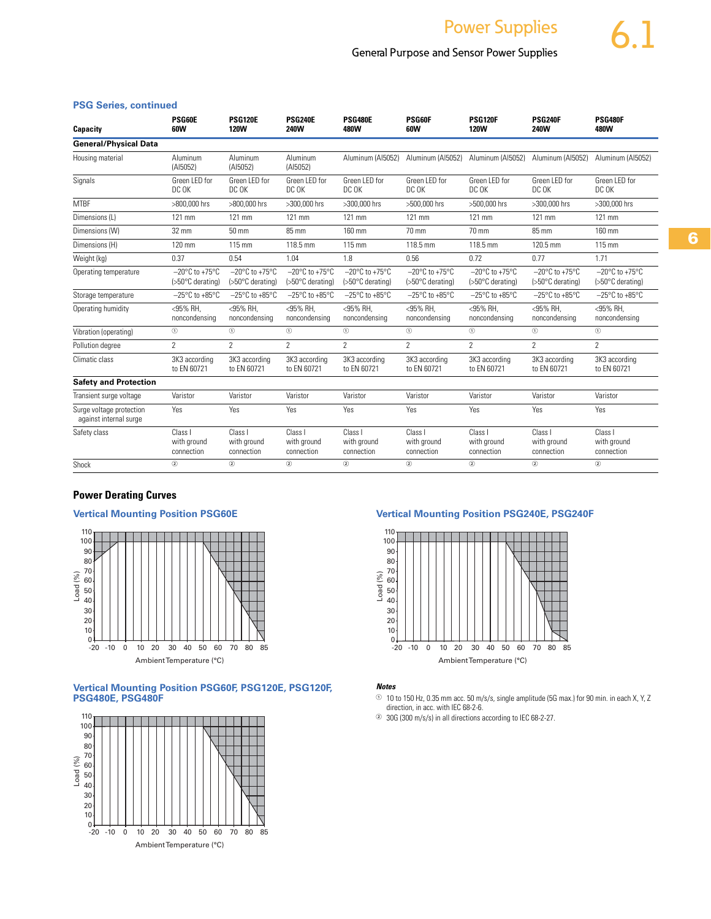# General Purpose and Sensor Power Supplies

# **PSG Series, continued**

| Capacity                                           | PSG60E<br>60W                                | <b>PSG120E</b><br><b>120W</b>                          | <b>PSG240E</b><br><b>240W</b>                | <b>PSG480E</b><br>480W                                 | PSG60F<br>60W                                          | <b>PSG120F</b><br><b>120W</b>                          | <b>PSG240F</b><br>240W                                  | <b>PSG480F</b><br>480W                                 |
|----------------------------------------------------|----------------------------------------------|--------------------------------------------------------|----------------------------------------------|--------------------------------------------------------|--------------------------------------------------------|--------------------------------------------------------|---------------------------------------------------------|--------------------------------------------------------|
| <b>General/Physical Data</b>                       |                                              |                                                        |                                              |                                                        |                                                        |                                                        |                                                         |                                                        |
| Housing material                                   | Aluminum<br>(AI5052)                         | Aluminum<br>(AI5052)                                   | Aluminum<br>(AI5052)                         | Aluminum (AI5052)                                      | Aluminum (AI5052)                                      | Aluminum (AI5052)                                      | Aluminum (AI5052)                                       | Aluminum (AI5052)                                      |
| Signals                                            | Green LED for<br>DC OK                       | Green LED for<br>DC OK                                 | Green LED for<br>DC OK                       | Green LED for<br>DC OK                                 | Green LED for<br>DC OK                                 | Green LED for<br>DC OK                                 | Green LED for<br>DC OK                                  | Green LED for<br>DC OK                                 |
| <b>MTBF</b>                                        | >800,000 hrs                                 | >800,000 hrs                                           | >300,000 hrs                                 | >300.000 hrs                                           | >500,000 hrs                                           | >500.000 hrs                                           | >300,000 hrs                                            | >300,000 hrs                                           |
| Dimensions (L)                                     | 121 mm                                       | 121 mm                                                 | 121 mm                                       | 121 mm                                                 | 121 mm                                                 | 121 mm                                                 | 121 mm                                                  | 121 mm                                                 |
| Dimensions (W)                                     | 32 mm                                        | 50 mm                                                  | 85 mm                                        | 160 mm                                                 | 70 mm                                                  | 70 mm                                                  | 85 mm                                                   | 160 mm                                                 |
| Dimensions (H)                                     | 120 mm                                       | 115 mm                                                 | 118.5 mm                                     | 115 mm                                                 | 118.5 mm                                               | 118.5 mm                                               | 120.5 mm                                                | 115 mm                                                 |
| Weight (kg)                                        | 0.37                                         | 0.54                                                   | 1.04                                         | 1.8                                                    | 0.56                                                   | 0.72                                                   | 0.77                                                    | 1.71                                                   |
| Operating temperature                              | $-20^{\circ}$ C to +75°C<br>(>50°C derating) | $-20^{\circ}$ C to $+75^{\circ}$ C<br>(>50°C derating) | $-20^{\circ}$ C to +75°C<br>(>50°C derating) | $-20^{\circ}$ C to $+75^{\circ}$ C<br>(>50°C derating) | $-20^{\circ}$ C to $+75^{\circ}$ C<br>(>50°C derating) | $-20^{\circ}$ C to $+75^{\circ}$ C<br>(>50°C derating) | $-20^{\circ}$ C to +75 $^{\circ}$ C<br>(>50°C derating) | $-20^{\circ}$ C to $+75^{\circ}$ C<br>(>50°C derating) |
| Storage temperature                                | $-25^{\circ}$ C to +85 $^{\circ}$ C          | $-25^{\circ}$ C to +85 $^{\circ}$ C                    | $-25^{\circ}$ C to +85 $^{\circ}$ C          | $-25^{\circ}$ C to +85 $^{\circ}$ C                    | $-25^{\circ}$ C to +85 $^{\circ}$ C                    | $-25^{\circ}$ C to +85 $^{\circ}$ C                    | $-25^{\circ}$ C to +85 $^{\circ}$ C                     | $-25^{\circ}$ C to +85 $^{\circ}$ C                    |
| Operating humidity                                 | <95% RH.<br>noncondensing                    | <95% RH.<br>noncondensing                              | <95% RH.<br>noncondensing                    | <95% RH.<br>noncondensing                              | <95% RH.<br>noncondensing                              | <95% RH.<br>noncondensing                              | <95% RH.<br>noncondensing                               | <95% RH.<br>noncondensing                              |
| Vibration (operating)                              | $\circledcirc$                               | $^{\circ}$                                             | $^{\circ}$                                   | $^{\circ}$                                             | $^{\circ}$                                             | $^{\circ}$                                             | $^{\circ}$                                              | $^{\circ}$                                             |
| Pollution degree                                   | $\mathcal{P}$                                | $\mathcal{P}$                                          | $\mathcal{P}$                                | $\mathcal{P}$                                          | $\mathcal{P}$                                          | $\mathcal{P}$                                          | $\mathcal{P}$                                           | $\mathcal{P}$                                          |
| Climatic class                                     | 3K3 according<br>to EN 60721                 | 3K3 according<br>to EN 60721                           | 3K3 according<br>to EN 60721                 | 3K3 according<br>to EN 60721                           | 3K3 according<br>to EN 60721                           | 3K3 according<br>to EN 60721                           | 3K3 according<br>to EN 60721                            | 3K3 according<br>to EN 60721                           |
| <b>Safety and Protection</b>                       |                                              |                                                        |                                              |                                                        |                                                        |                                                        |                                                         |                                                        |
| Transient surge voltage                            | Varistor                                     | Varistor                                               | Varistor                                     | Varistor                                               | Varistor                                               | Varistor                                               | Varistor                                                | Varistor                                               |
| Surge voltage protection<br>against internal surge | Yes                                          | Yes                                                    | Yes                                          | Yes                                                    | Yes                                                    | Yes                                                    | Yes                                                     | Yes                                                    |
| Safety class                                       | Class I<br>with ground<br>connection         | Class I<br>with ground<br>connection                   | Class I<br>with ground<br>connection         | Class I<br>with ground<br>connection                   | Class I<br>with ground<br>connection                   | Class I<br>with ground<br>connection                   | Class I<br>with ground<br>connection                    | Class I<br>with ground<br>connection                   |
| Shock                                              | (2)                                          | (2)                                                    | (2)                                          | (2)                                                    | (2)                                                    | (2)                                                    | (2)                                                     | (2)                                                    |

# **Power Derating Curves**

## **Vertical Mounting Position PSG60E**



#### **Vertical Mounting Position PSG60F, PSG120E, PSG120F, PSG480E, PSG480F**



# **Vertical Mounting Position PSG240E, PSG240F**



#### *Notes*

 $\odot$  10 to 150 Hz, 0.35 mm acc. 50 m/s/s, single amplitude (5G max.) for 90 min. in each X, Y, Z direction, in acc. with IEC 68-2-6.

<sup>2</sup> 30G (300 m/s/s) in all directions according to IEC 68-2-27.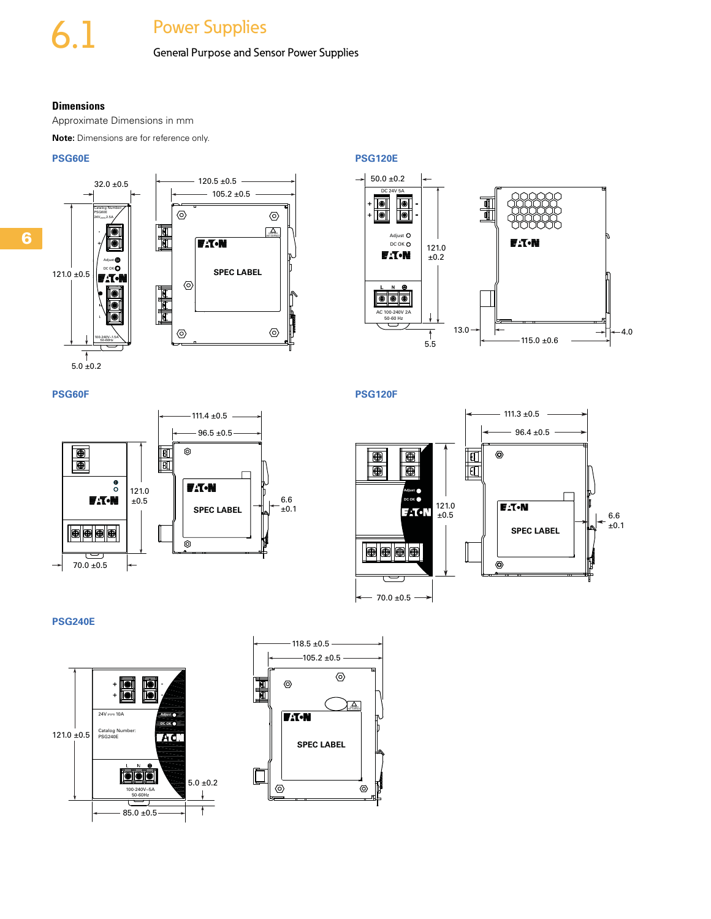# General Purpose and Sensor Power Supplies

### **Dimensions**

Approximate Dimensions in mm

**Note:** Dimensions are for reference only.

## **PSG60E**





**PSG120E**



**PSG120F**



f





**PSG240E**